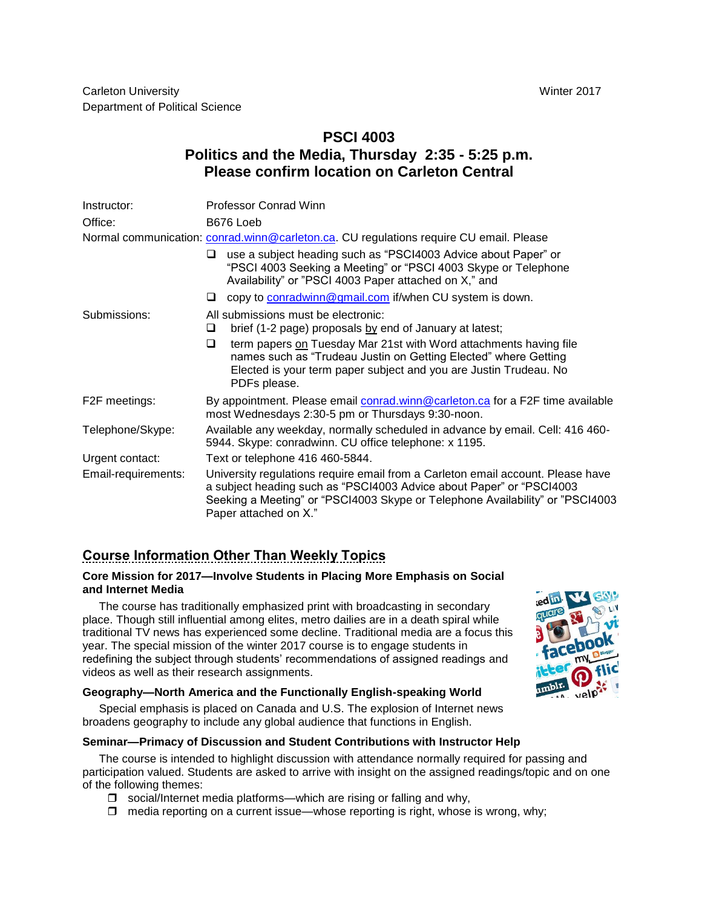# **PSCI 4003 Politics and the Media, Thursday 2:35 - 5:25 p.m. Please confirm location on Carleton Central**

| Instructor:                                                                            | <b>Professor Conrad Winn</b>                                                                                                                                                                                                                                                                                                          |  |  |  |  |  |
|----------------------------------------------------------------------------------------|---------------------------------------------------------------------------------------------------------------------------------------------------------------------------------------------------------------------------------------------------------------------------------------------------------------------------------------|--|--|--|--|--|
| Office:                                                                                | B676 Loeb                                                                                                                                                                                                                                                                                                                             |  |  |  |  |  |
| Normal communication: conrad.winn@carleton.ca. CU regulations require CU email. Please |                                                                                                                                                                                                                                                                                                                                       |  |  |  |  |  |
|                                                                                        | use a subject heading such as "PSCI4003 Advice about Paper" or<br>ப<br>"PSCI 4003 Seeking a Meeting" or "PSCI 4003 Skype or Telephone<br>Availability" or "PSCI 4003 Paper attached on X," and                                                                                                                                        |  |  |  |  |  |
|                                                                                        | copy to conradwinn@gmail.com if/when CU system is down.<br>u                                                                                                                                                                                                                                                                          |  |  |  |  |  |
| Submissions:                                                                           | All submissions must be electronic:<br>brief (1-2 page) proposals by end of January at latest;<br>⊔<br>term papers on Tuesday Mar 21st with Word attachments having file<br>◻<br>names such as "Trudeau Justin on Getting Elected" where Getting<br>Elected is your term paper subject and you are Justin Trudeau. No<br>PDFs please. |  |  |  |  |  |
| F2F meetings:                                                                          | By appointment. Please email conrad.winn@carleton.ca for a F2F time available<br>most Wednesdays 2:30-5 pm or Thursdays 9:30-noon.                                                                                                                                                                                                    |  |  |  |  |  |
| Telephone/Skype:                                                                       | Available any weekday, normally scheduled in advance by email. Cell: 416 460-<br>5944. Skype: conradwinn. CU office telephone: x 1195.                                                                                                                                                                                                |  |  |  |  |  |
| Urgent contact:                                                                        | Text or telephone 416 460-5844.                                                                                                                                                                                                                                                                                                       |  |  |  |  |  |
| Email-requirements:                                                                    | University regulations require email from a Carleton email account. Please have<br>a subject heading such as "PSCI4003 Advice about Paper" or "PSCI4003<br>Seeking a Meeting" or "PSCI4003 Skype or Telephone Availability" or "PSCI4003<br>Paper attached on X."                                                                     |  |  |  |  |  |

# **Course Information Other Than Weekly Topics**

# **Core Mission for 2017—Involve Students in Placing More Emphasis on Social and Internet Media**

The course has traditionally emphasized print with broadcasting in secondary place. Though still influential among elites, metro dailies are in a death spiral while traditional TV news has experienced some decline. Traditional media are a focus this year. The special mission of the winter 2017 course is to engage students in redefining the subject through students' recommendations of assigned readings and videos as well as their research assignments.

# **Geography—North America and the Functionally English-speaking World**

Special emphasis is placed on Canada and U.S. The explosion of Internet news broadens geography to include any global audience that functions in English.

### **Seminar—Primacy of Discussion and Student Contributions with Instructor Help**

The course is intended to highlight discussion with attendance normally required for passing and participation valued. Students are asked to arrive with insight on the assigned readings/topic and on one of the following themes:

- $\square$  social/Internet media platforms—which are rising or falling and why,
- $\Box$  media reporting on a current issue—whose reporting is right, whose is wrong, why;

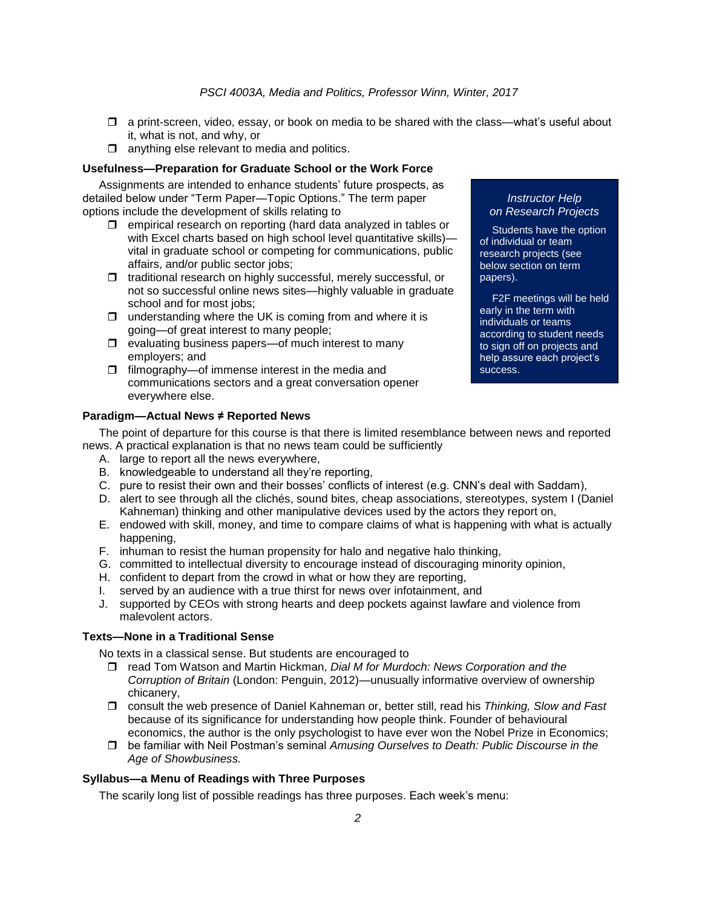- $\Box$  a print-screen, video, essay, or book on media to be shared with the class—what's useful about it, what is not, and why, or
- $\Box$  anything else relevant to media and politics.

#### **Usefulness—Preparation for Graduate School or the Work Force**

Assignments are intended to enhance students' future prospects, as detailed below under "Term Paper—Topic Options." The term paper options include the development of skills relating to

- $\Box$  empirical research on reporting (hard data analyzed in tables or with Excel charts based on high school level quantitative skills)vital in graduate school or competing for communications, public affairs, and/or public sector jobs;
- $\Box$  traditional research on highly successful, merely successful, or not so successful online news sites—highly valuable in graduate school and for most jobs;
- $\Box$  understanding where the UK is coming from and where it is going—of great interest to many people;
- $\Box$  evaluating business papers—of much interest to many employers; and
- $\Box$  filmography—of immense interest in the media and communications sectors and a great conversation opener everywhere else.

#### *Instructor Help on Research Projects*

Students have the option of individual or team research projects (see below section on term papers).

F2F meetings will be held early in the term with individuals or teams according to student needs to sign off on projects and help assure each project's success.

### **Paradigm—Actual News ≠ Reported News**

The point of departure for this course is that there is limited resemblance between news and reported news. A practical explanation is that no news team could be sufficiently

- A. large to report all the news everywhere,
- B. knowledgeable to understand all they're reporting,
- C. pure to resist their own and their bosses' conflicts of interest (e.g. CNN's deal with Saddam),
- D. alert to see through all the clichés, sound bites, cheap associations, stereotypes, system I (Daniel Kahneman) thinking and other manipulative devices used by the actors they report on,
- E. endowed with skill, money, and time to compare claims of what is happening with what is actually happening,
- F. inhuman to resist the human propensity for halo and negative halo thinking,
- G. committed to intellectual diversity to encourage instead of discouraging minority opinion,
- H. confident to depart from the crowd in what or how they are reporting,
- I. served by an audience with a true thirst for news over infotainment, and
- J. supported by CEOs with strong hearts and deep pockets against lawfare and violence from malevolent actors.

# **Texts—None in a Traditional Sense**

No texts in a classical sense. But students are encouraged to

- read Tom Watson and Martin Hickman, *Dial M for Murdoch: News Corporation and the Corruption of Britain* (London: Penguin, 2012)—unusually informative overview of ownership chicanery,
- consult the web presence of Daniel Kahneman or, better still, read his *Thinking, Slow and Fast* because of its significance for understanding how people think. Founder of behavioural economics, the author is the only psychologist to have ever won the Nobel Prize in Economics;
- be familiar with Neil Postman's seminal *Amusing Ourselves to Death: Public Discourse in the Age of Showbusiness.*

#### **Syllabus—a Menu of Readings with Three Purposes**

The scarily long list of possible readings has three purposes. Each week's menu: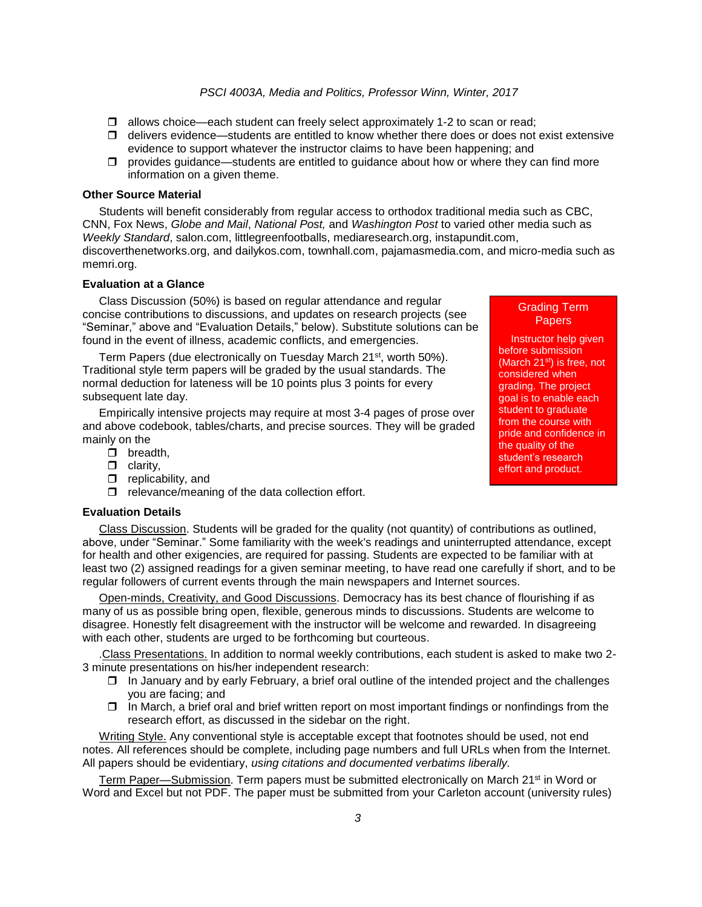- $\Box$  allows choice—each student can freely select approximately 1-2 to scan or read;
- $\Box$  delivers evidence—students are entitled to know whether there does or does not exist extensive evidence to support whatever the instructor claims to have been happening; and
- $\Box$  provides guidance—students are entitled to guidance about how or where they can find more information on a given theme.

#### **Other Source Material**

Students will benefit considerably from regular access to orthodox traditional media such as CBC, CNN, Fox News, *Globe and Mail*, *National Post,* and *Washington Post* to varied other media such as *Weekly Standard*, salon.com, littlegreenfootballs, mediaresearch.org, instapundit.com, discoverthenetworks.org, and dailykos.com, townhall.com, pajamasmedia.com, and micro-media such as memri.org.

#### **Evaluation at a Glance**

Class Discussion (50%) is based on regular attendance and regular concise contributions to discussions, and updates on research projects (see "Seminar," above and "Evaluation Details," below). Substitute solutions can be found in the event of illness, academic conflicts, and emergencies.

Term Papers (due electronically on Tuesday March 21<sup>st</sup>, worth 50%). Traditional style term papers will be graded by the usual standards. The normal deduction for lateness will be 10 points plus 3 points for every subsequent late day.

Empirically intensive projects may require at most 3-4 pages of prose over and above codebook, tables/charts, and precise sources. They will be graded mainly on the

- $\Box$  breadth,
- $\Box$  clarity,
- $\Box$  replicability, and
- $\Box$  relevance/meaning of the data collection effort.

#### **Evaluation Details**

Class Discussion. Students will be graded for the quality (not quantity) of contributions as outlined, above, under "Seminar." Some familiarity with the week's readings and uninterrupted attendance, except for health and other exigencies, are required for passing. Students are expected to be familiar with at least two (2) assigned readings for a given seminar meeting, to have read one carefully if short, and to be regular followers of current events through the main newspapers and Internet sources.

Open-minds, Creativity, and Good Discussions. Democracy has its best chance of flourishing if as many of us as possible bring open, flexible, generous minds to discussions. Students are welcome to disagree. Honestly felt disagreement with the instructor will be welcome and rewarded. In disagreeing with each other, students are urged to be forthcoming but courteous.

.Class Presentations. In addition to normal weekly contributions, each student is asked to make two 2- 3 minute presentations on his/her independent research:

- $\Box$  In January and by early February, a brief oral outline of the intended project and the challenges you are facing; and
- $\Box$  In March, a brief oral and brief written report on most important findings or nonfindings from the research effort, as discussed in the sidebar on the right.

Writing Style. Any conventional style is acceptable except that footnotes should be used, not end notes. All references should be complete, including page numbers and full URLs when from the Internet. All papers should be evidentiary, *using citations and documented verbatims liberally.*

Term Paper—Submission. Term papers must be submitted electronically on March 21<sup>st</sup> in Word or Word and Excel but not PDF. The paper must be submitted from your Carleton account (university rules)

Papers Instructor help given before submission (March 21<sup>st</sup>) is free, not considered when grading. The project goal is to enable each

Grading Term

student to graduate from the course with pride and confidence in the quality of the student's research effort and product.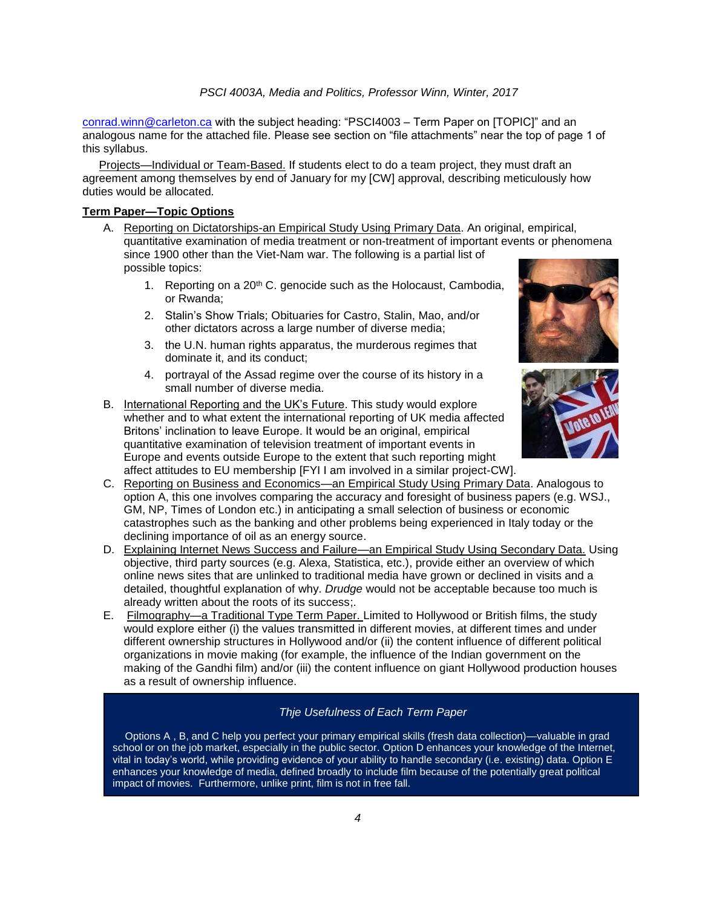[conrad.winn@carleton.ca](mailto:conrad.winn@carleton.ca) with the subject heading: "PSCI4003 – Term Paper on [TOPIC]" and an analogous name for the attached file. Please see section on "file attachments" near the top of page 1 of this syllabus.

Projects—Individual or Team-Based. If students elect to do a team project, they must draft an agreement among themselves by end of January for my [CW] approval, describing meticulously how duties would be allocated.

# **Term Paper—Topic Options**

- A. Reporting on Dictatorships-an Empirical Study Using Primary Data. An original, empirical, quantitative examination of media treatment or non-treatment of important events or phenomena since 1900 other than the Viet-Nam war. The following is a partial list of possible topics:
	- 1. Reporting on a  $20<sup>th</sup>$  C. genocide such as the Holocaust, Cambodia, or Rwanda;
	- 2. Stalin's Show Trials; Obituaries for Castro, Stalin, Mao, and/or other dictators across a large number of diverse media;
	- 3. the U.N. human rights apparatus, the murderous regimes that dominate it, and its conduct;
	- 4. portrayal of the Assad regime over the course of its history in a small number of diverse media.
- B. International Reporting and the UK's Future. This study would explore whether and to what extent the international reporting of UK media affected Britons' inclination to leave Europe. It would be an original, empirical quantitative examination of television treatment of important events in Europe and events outside Europe to the extent that such reporting might affect attitudes to EU membership [FYI I am involved in a similar project-CW].





- C. Reporting on Business and Economics—an Empirical Study Using Primary Data. Analogous to option A, this one involves comparing the accuracy and foresight of business papers (e.g. WSJ., GM, NP, Times of London etc.) in anticipating a small selection of business or economic catastrophes such as the banking and other problems being experienced in Italy today or the declining importance of oil as an energy source.
- D. Explaining Internet News Success and Failure—an Empirical Study Using Secondary Data. Using objective, third party sources (e.g. Alexa, Statistica, etc.), provide either an overview of which online news sites that are unlinked to traditional media have grown or declined in visits and a detailed, thoughtful explanation of why. *Drudge* would not be acceptable because too much is already written about the roots of its success;.
- E. Filmography—a Traditional Type Term Paper. Limited to Hollywood or British films, the study would explore either (i) the values transmitted in different movies, at different times and under different ownership structures in Hollywood and/or (ii) the content influence of different political organizations in movie making (for example, the influence of the Indian government on the making of the Gandhi film) and/or (iii) the content influence on giant Hollywood production houses as a result of ownership influence.

# *Thje Usefulness of Each Term Paper*

Options A, B, and C help you perfect your primary empirical skills (fresh data collection)—valuable in grad school or on the job market, especially in the public sector. Option D enhances your knowledge of the Internet, vital in today's world, while providing evidence of your ability to handle secondary (i.e. existing) data. Option E enhances your knowledge of media, defined broadly to include film because of the potentially great political impact of movies. Furthermore, unlike print, film is not in free fall.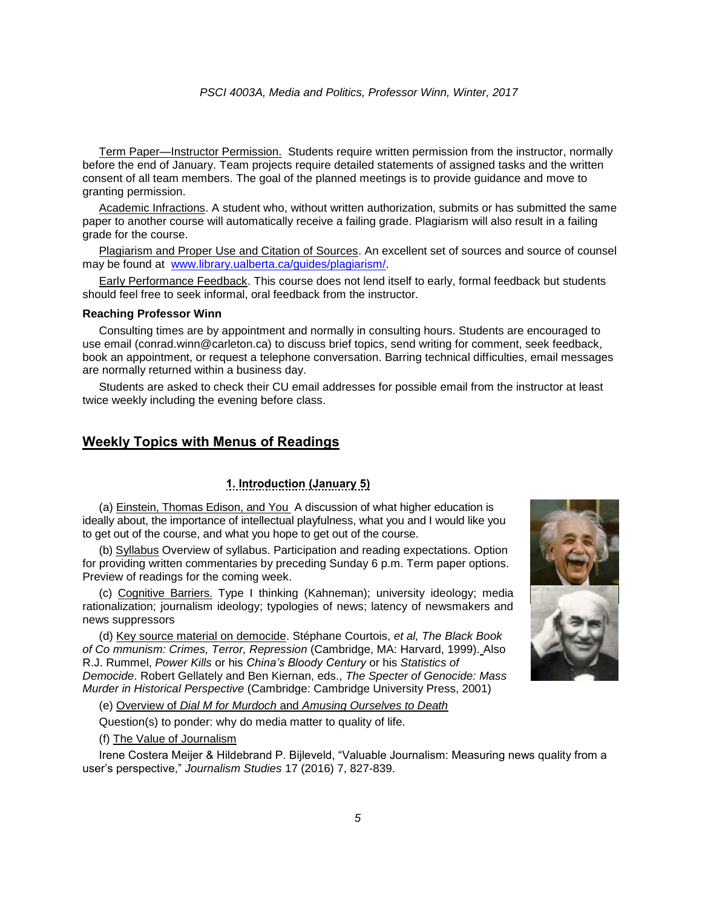Term Paper—Instructor Permission. Students require written permission from the instructor, normally before the end of January. Team projects require detailed statements of assigned tasks and the written consent of all team members. The goal of the planned meetings is to provide guidance and move to granting permission.

Academic Infractions. A student who, without written authorization, submits or has submitted the same paper to another course will automatically receive a failing grade. Plagiarism will also result in a failing grade for the course.

Plagiarism and Proper Use and Citation of Sources. An excellent set of sources and source of counsel may be found at [www.library.ualberta.ca/guides/plagiarism/.](http://www.library.ualberta.ca/guides/plagiarism/)

Early Performance Feedback. This course does not lend itself to early, formal feedback but students should feel free to seek informal, oral feedback from the instructor.

#### **Reaching Professor Winn**

Consulting times are by appointment and normally in consulting hours. Students are encouraged to use email (conrad.winn@carleton.ca) to discuss brief topics, send writing for comment, seek feedback, book an appointment, or request a telephone conversation. Barring technical difficulties, email messages are normally returned within a business day.

Students are asked to check their CU email addresses for possible email from the instructor at least twice weekly including the evening before class.

## **Weekly Topics with Menus of Readings**

## **1. Introduction (January 5)**

(a) Einstein, Thomas Edison, and You A discussion of what higher education is ideally about, the importance of intellectual playfulness, what you and I would like you to get out of the course, and what you hope to get out of the course.

(b) Syllabus Overview of syllabus. Participation and reading expectations. Option for providing written commentaries by preceding Sunday 6 p.m. Term paper options. Preview of readings for the coming week.

(c) Cognitive Barriers. Type I thinking (Kahneman); university ideology; media rationalization; journalism ideology; typologies of news; latency of newsmakers and news suppressors

(d) Key source material on democide. Stéphane Courtois, *et al, The Black Book of Co mmunism: Crimes, Terror, Repression* (Cambridge, MA: Harvard, 1999). Also R.J. Rummel, *Power Kills* or his *China's Bloody Century* or his *Statistics of Democide*. Robert Gellately and Ben Kiernan, eds., *The Specter of Genocide: Mass Murder in Historical Perspective* (Cambridge: Cambridge University Press, 2001)

(e) Overview of *Dial M for Murdoch* and *Amusing Ourselves to Death*

Question(s) to ponder: why do media matter to quality of life.

(f) The Value of Journalism

Irene Costera Meijer & Hildebrand P. Bijleveld, "Valuable Journalism: Measuring news quality from a user's perspective," *Journalism Studies* 17 (2016) 7, 827-839.

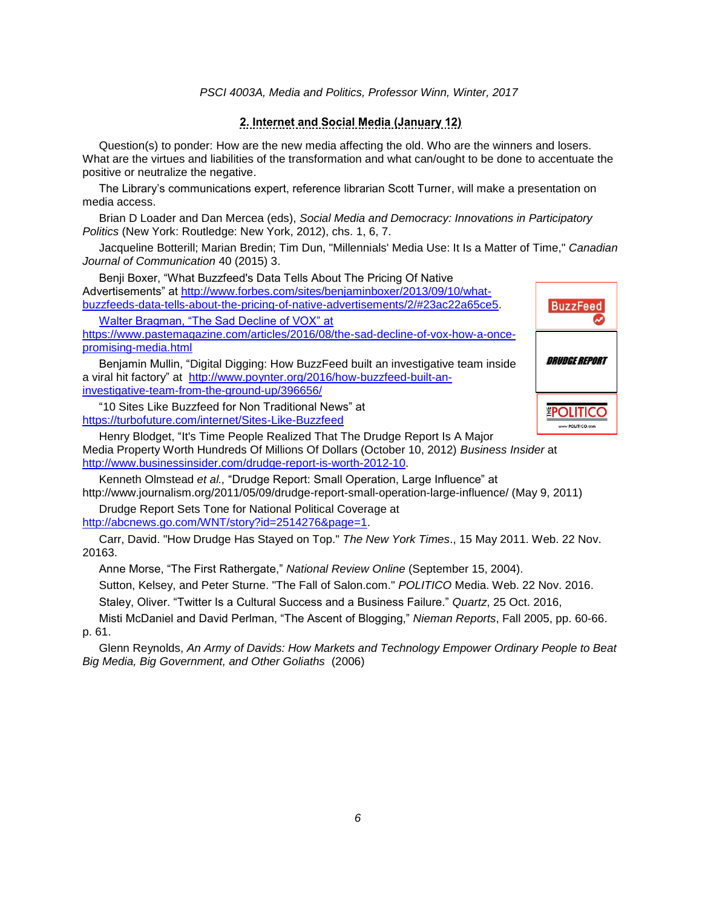### **2. Internet and Social Media (January 12)**

Question(s) to ponder: How are the new media affecting the old. Who are the winners and losers. What are the virtues and liabilities of the transformation and what can/ought to be done to accentuate the positive or neutralize the negative.

The Library's communications expert, reference librarian Scott Turner, will make a presentation on media access.

Brian D Loader and Dan Mercea (eds), *Social Media and Democracy: Innovations in Participatory Politics* (New York: Routledge: New York, 2012), chs. 1, 6, 7.

Jacqueline Botterill; Marian Bredin; Tim Dun, "Millennials' Media Use: It Is a Matter of Time," *Canadian Journal of Communication* 40 (2015) 3.

Benji Boxer, "What Buzzfeed's Data Tells About The Pricing Of Native Advertisements" at [http://www.forbes.com/sites/benjaminboxer/2013/09/10/what](http://www.forbes.com/sites/benjaminboxer/2013/09/10/what-buzzfeeds-data-tells-about-the-pricing-of-native-advertisements/2/#23ac22a65ce5)[buzzfeeds-data-tells-about-the-pricing-of-native-advertisements/2/#23ac22a65ce5.](http://www.forbes.com/sites/benjaminboxer/2013/09/10/what-buzzfeeds-data-tells-about-the-pricing-of-native-advertisements/2/#23ac22a65ce5)

[Walter Bragman, "The Sad Decline of VOX" at](file:///C:/Users/Owner/Documents/Carletondesk/4003-2017/Sylabus/Walter%20Bragman,) 

[https://www.pastemagazine.com/articles/2016/08/the-sad-decline-of-vox-how-a-once](file:///C:/Users/Owner/Documents/Carletondesk/4003-2017/Sylabus/Walter%20Bragman,)[promising-media.html](file:///C:/Users/Owner/Documents/Carletondesk/4003-2017/Sylabus/Walter%20Bragman,)

Benjamin Mullin, "Digital Digging: How BuzzFeed built an investigative team inside a viral hit factory" at [http://www.poynter.org/2016/how-buzzfeed-built-an](http://www.poynter.org/2016/how-buzzfeed-built-an-investigative-team-from-the-ground-up/396656/)[investigative-team-from-the-ground-up/396656/](http://www.poynter.org/2016/how-buzzfeed-built-an-investigative-team-from-the-ground-up/396656/)

"10 Sites Like Buzzfeed for Non Traditional News" at <https://turbofuture.com/internet/Sites-Like-Buzzfeed>

Henry Blodget, "It's Time People Realized That The Drudge Report Is A Major Media Property Worth Hundreds Of Millions Of Dollars (October 10, 2012) *Business Insider* at [http://www.businessinsider.com/drudge-report-is-worth-2012-10.](http://www.businessinsider.com/drudge-report-is-worth-2012-10)

Kenneth Olmstead *et al.,* "Drudge Report: Small Operation, Large Influence" at http://www.journalism.org/2011/05/09/drudge-report-small-operation-large-influence/ (May 9, 2011)

Drudge Report Sets Tone for National Political Coverage at [http://abcnews.go.com/WNT/story?id=2514276&page=1.](http://abcnews.go.com/WNT/story?id=2514276&page=1)

Carr, David. "How Drudge Has Stayed on Top." *The New York Times*., 15 May 2011. Web. 22 Nov. 20163.

Anne Morse, "The First Rathergate," *National Review Online* (September 15, 2004).

Sutton, Kelsey, and Peter Sturne. "The Fall of Salon.com." *POLITICO* Media. Web. 22 Nov. 2016.

Staley, Oliver. "Twitter Is a Cultural Success and a Business Failure." *Quartz*, 25 Oct. 2016,

Misti McDaniel and David Perlman, "The Ascent of Blogging," *Nieman Reports*, Fall 2005, pp. 60-66. p. 61.

Glenn Reynolds, *An Army of Davids: How Markets and Technology Empower Ordinary People to Beat Big Media, Big Government, and Other Goliaths* (2006)

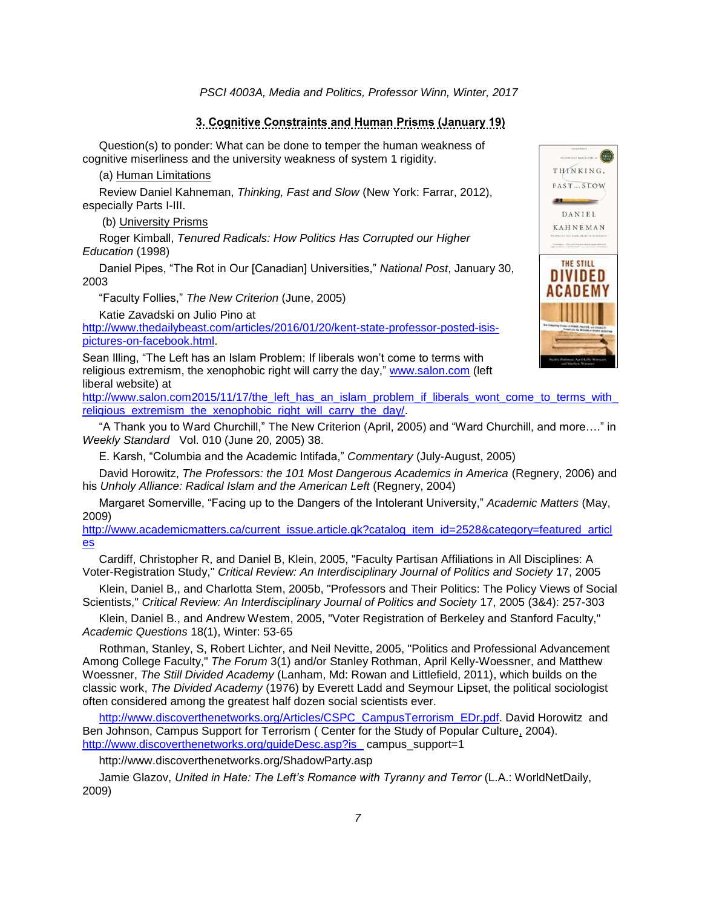### **3. Cognitive Constraints and Human Prisms (January 19)**

Question(s) to ponder: What can be done to temper the human weakness of cognitive miserliness and the university weakness of system 1 rigidity.

(a) Human Limitations

Review Daniel Kahneman, *Thinking, Fast and Slow* (New York: Farrar, 2012), especially Parts I-III.

(b) University Prisms

Roger Kimball, *Tenured Radicals: How Politics Has Corrupted our Higher Education* (1998)

Daniel Pipes, "The Rot in Our [Canadian] Universities," *National Post*, January 30, 2003

"Faculty Follies," *The New Criterion* (June, 2005)

Katie Zavadski on Julio Pino at

[http://www.thedailybeast.com/articles/2016/01/20/kent-state-professor-posted-isis](http://www.thedailybeast.com/articles/2016/01/20/kent-state-professor-posted-isis-pictures-on-facebook.html)[pictures-on-facebook.html.](http://www.thedailybeast.com/articles/2016/01/20/kent-state-professor-posted-isis-pictures-on-facebook.html)

Sean Illing, "The Left has an Islam Problem: If liberals won't come to terms with religious extremism, the xenophobic right will carry the day," [www.salon.com](http://www.salon.com/) (left liberal website) at

[http://www.salon.com2015/11/17/the\\_left\\_has\\_an\\_islam\\_problem\\_if\\_liberals\\_wont\\_come\\_to\\_terms\\_with\\_](http://www.salon.com2015/11/17/the_left_has_an_islam_problem_if_liberals_wont_come_to_terms_with_religious_extremism_the_xenophobic_right_will_carry_the_day/) religious extremism the xenophobic right will carry the day/.

"A Thank you to Ward Churchill," The New Criterion (April, 2005) and "Ward Churchill, and more…." in *Weekly Standard* Vol. 010 (June 20, 2005) 38.

E. Karsh, "Columbia and the Academic Intifada," *Commentary* (July-August, 2005)

David Horowitz, *The Professors: the 101 Most Dangerous Academics in America* (Regnery, 2006) and his *Unholy Alliance: Radical Islam and the American Left* (Regnery, 2004)

Margaret Somerville, "Facing up to the Dangers of the Intolerant University," *Academic Matters* (May, 2009)

[http://www.academicmatters.ca/current\\_issue.article.gk?catalog\\_item\\_id=2528&category=featured\\_articl](http://www.academicmatters.ca/current_issue.article.gk?catalog_item_id=2528&category=featured_articles) [es](http://www.academicmatters.ca/current_issue.article.gk?catalog_item_id=2528&category=featured_articles)

Cardiff, Christopher R, and Daniel B, Klein, 2005, "Faculty Partisan Affiliations in All Disciplines: A Voter-Registration Study," *Critical Review: An Interdisciplinary Journal of Politics and Society* 17, 2005

Klein, Daniel B,, and Charlotta Stem, 2005b, "Professors and Their Politics: The Policy Views of Social Scientists," *Critical Review: An Interdisciplinary Journal of Politics and Society* 17, 2005 (3&4): 257-303

Klein, Daniel B., and Andrew Westem, 2005, "Voter Registration of Berkeley and Stanford Faculty," *Academic Questions* 18(1), Winter: 53-65

Rothman, Stanley, S, Robert Lichter, and Neil Nevitte, 2005, "Politics and Professional Advancement Among College Faculty," *The Forum* 3(1) and/or Stanley Rothman, April Kelly-Woessner, and Matthew Woessner, *The Still Divided Academy* (Lanham, Md: Rowan and Littlefield, 2011), which builds on the classic work, *The Divided Academy* (1976) by Everett Ladd and Seymour Lipset, the political sociologist often considered among the greatest half dozen social scientists ever.

[http://www.discoverthenetworks.org/Articles/CSPC\\_CampusTerrorism\\_EDr.pdf.](http://www.discoverthenetworks.org/Articles/CSPC_CampusTerrorism_EDr.pdf) David Horowitz and Ben Johnson, Campus Support for Terrorism ( Center for the Study of Popular Culture, 2004). [http://www.discoverthenetworks.org/guideDesc.asp?is\\_](http://www.discoverthenetworks.org/guideDesc.asp?is_) campus\_support=1

http://www.discoverthenetworks.org/ShadowParty.asp

Jamie Glazov, United in Hate: The Left's Romance with Tyranny and Terror (L.A.: WorldNetDaily, 2009)

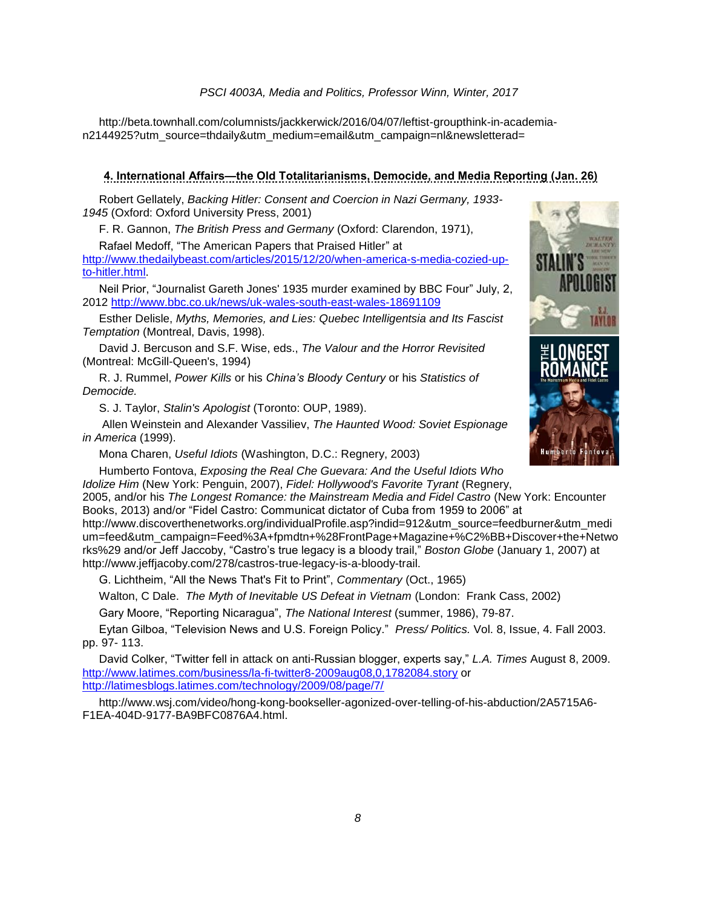http://beta.townhall.com/columnists/jackkerwick/2016/04/07/leftist-groupthink-in-academian2144925?utm\_source=thdaily&utm\_medium=email&utm\_campaign=nl&newsletterad=

# **4. International Affairs—the Old Totalitarianisms, Democide, and Media Reporting (Jan. 26)**

Robert Gellately, *Backing Hitler: Consent and Coercion in Nazi Germany, 1933- 1945* (Oxford: Oxford University Press, 2001)

F. R. Gannon, *The British Press and Germany* (Oxford: Clarendon, 1971),

Rafael Medoff, "The American Papers that Praised Hitler" at

[http://www.thedailybeast.com/articles/2015/12/20/when-america-s-media-cozied-up](http://www.thedailybeast.com/articles/2015/12/20/when-america-s-media-cozied-up-to-hitler.html)[to-hitler.html.](http://www.thedailybeast.com/articles/2015/12/20/when-america-s-media-cozied-up-to-hitler.html)

Neil Prior, "Journalist Gareth Jones' 1935 murder examined by BBC Four" July, 2, 2012<http://www.bbc.co.uk/news/uk-wales-south-east-wales-18691109>

Esther Delisle, *Myths, Memories, and Lies: Quebec Intelligentsia and Its Fascist Temptation* (Montreal, Davis, 1998).

David J. Bercuson and S.F. Wise, eds., *The Valour and the Horror Revisited* (Montreal: McGill-Queen's, 1994)

R. J. Rummel, *Power Kills* or his *China's Bloody Century* or his *Statistics of Democide.*

S. J. Taylor, *Stalin's Apologist* (Toronto: OUP, 1989).

Allen Weinstein and Alexander Vassiliev, *The Haunted Wood: Soviet Espionage in America* (1999).

Mona Charen, *Useful Idiots* (Washington, D.C.: Regnery, 2003)

Humberto Fontova, *Exposing the Real Che Guevara: And the Useful Idiots Who Idolize Him* (New York: Penguin, 2007), *Fidel: Hollywood's Favorite Tyrant* (Regnery,

2005, and/or his *The Longest Romance: the Mainstream Media and Fidel Castro* (New York: Encounter Books, 2013) and/or "Fidel Castro: Communicat dictator of Cuba from 1959 to 2006" at

http://www.discoverthenetworks.org/individualProfile.asp?indid=912&utm\_source=feedburner&utm\_medi um=feed&utm\_campaign=Feed%3A+fpmdtn+%28FrontPage+Magazine+%C2%BB+Discover+the+Netwo rks%29 and/or Jeff Jaccoby, "Castro's true legacy is a bloody trail," *Boston Globe* (January 1, 2007) at http://www.jeffjacoby.com/278/castros-true-legacy-is-a-bloody-trail.

G. Lichtheim, "All the News That's Fit to Print", *Commentary* (Oct., 1965)

Walton, C Dale. *The Myth of Inevitable US Defeat in Vietnam* (London: Frank Cass, 2002)

Gary Moore, "Reporting Nicaragua", *The National Interest* (summer, 1986), 79-87.

Eytan Gilboa, "Television News and U.S. Foreign Policy." *Press/ Politics.* Vol. 8, Issue, 4. Fall 2003. pp. 97- 113.

David Colker, "Twitter fell in attack on anti-Russian blogger, experts say," *L.A. Times* August 8, 2009. <http://www.latimes.com/business/la-fi-twitter8-2009aug08,0,1782084.story> or <http://latimesblogs.latimes.com/technology/2009/08/page/7/>

http://www.wsj.com/video/hong-kong-bookseller-agonized-over-telling-of-his-abduction/2A5715A6- F1EA-404D-9177-BA9BFC0876A4.html.

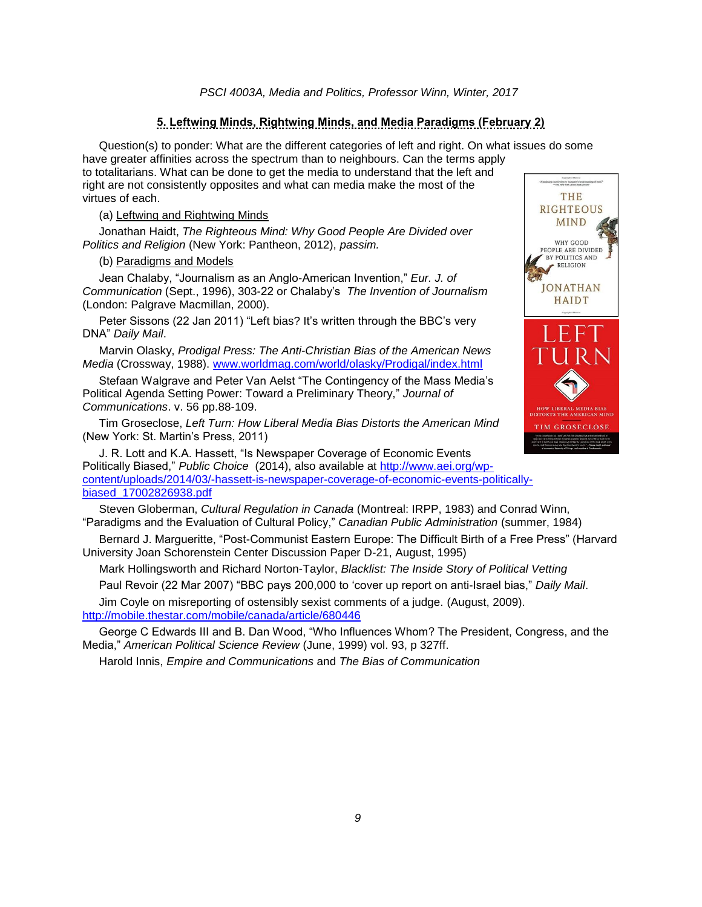### **5. Leftwing Minds, Rightwing Minds, and Media Paradigms (February 2)**

Question(s) to ponder: What are the different categories of left and right. On what issues do some have greater affinities across the spectrum than to neighbours. Can the terms apply to totalitarians. What can be done to get the media to understand that the left and right are not consistently opposites and what can media make the most of the virtues of each.

(a) Leftwing and Rightwing Minds

Jonathan Haidt, *The Righteous Mind: Why Good People Are Divided over Politics and Religion* (New York: Pantheon, 2012), *passim.*

### (b) Paradigms and Models

Jean Chalaby, "Journalism as an Anglo-American Invention," *Eur. J. of Communication* (Sept., 1996), 303-22 or Chalaby's *The Invention of Journalism* (London: Palgrave Macmillan, 2000).

Peter Sissons (22 Jan 2011) "Left bias? It's written through the BBC's very DNA" *Daily Mail*.

Marvin Olasky, *Prodigal Press: The Anti-Christian Bias of the American News Media* (Crossway, 1988). [www.worldmag.com/world/olasky/Prodigal/index.html](http://www.worldmag.com/world/olasky/Prodigal/index.html)

Stefaan Walgrave and Peter Van Aelst "The Contingency of the Mass Media's Political Agenda Setting Power: Toward a Preliminary Theory," *Journal of Communications*. v. 56 pp.88-109.

Tim Groseclose, *Left Turn: How Liberal Media Bias Distorts the American Mind* (New York: St. Martin's Press, 2011)

J. R. Lott and K.A. Hassett, "Is Newspaper Coverage of Economic Events Politically Biased," *Public Choice* (2014), also available at [http://www.aei.org/wp](http://www.aei.org/wp-content/uploads/2014/03/-hassett-is-newspaper-coverage-of-economic-events-politically-biased_17002826938.pdf)[content/uploads/2014/03/-hassett-is-newspaper-coverage-of-economic-events-politically](http://www.aei.org/wp-content/uploads/2014/03/-hassett-is-newspaper-coverage-of-economic-events-politically-biased_17002826938.pdf)[biased\\_17002826938.pdf](http://www.aei.org/wp-content/uploads/2014/03/-hassett-is-newspaper-coverage-of-economic-events-politically-biased_17002826938.pdf) 

Steven Globerman, *Cultural Regulation in Canada* (Montreal: IRPP, 1983) and Conrad Winn, "Paradigms and the Evaluation of Cultural Policy," *Canadian Public Administration* (summer, 1984)

Bernard J. Margueritte, "Post-Communist Eastern Europe: The Difficult Birth of a Free Press" (Harvard University Joan Schorenstein Center Discussion Paper D-21, August, 1995)

Mark Hollingsworth and Richard Norton-Taylor, *Blacklist: The Inside Story of Political Vetting*

Paul Revoir (22 Mar 2007) "BBC pays 200,000 to 'cover up report on anti-Israel bias," *Daily Mail*.

Jim Coyle on misreporting of ostensibly sexist comments of a judge. (August, 2009). <http://mobile.thestar.com/mobile/canada/article/680446>

George C Edwards III and B. Dan Wood, "Who Influences Whom? The President, Congress, and the Media," *American Political Science Review* (June, 1999) vol. 93, p 327ff.

Harold Innis, *Empire and Communications* and *The Bias of Communication*

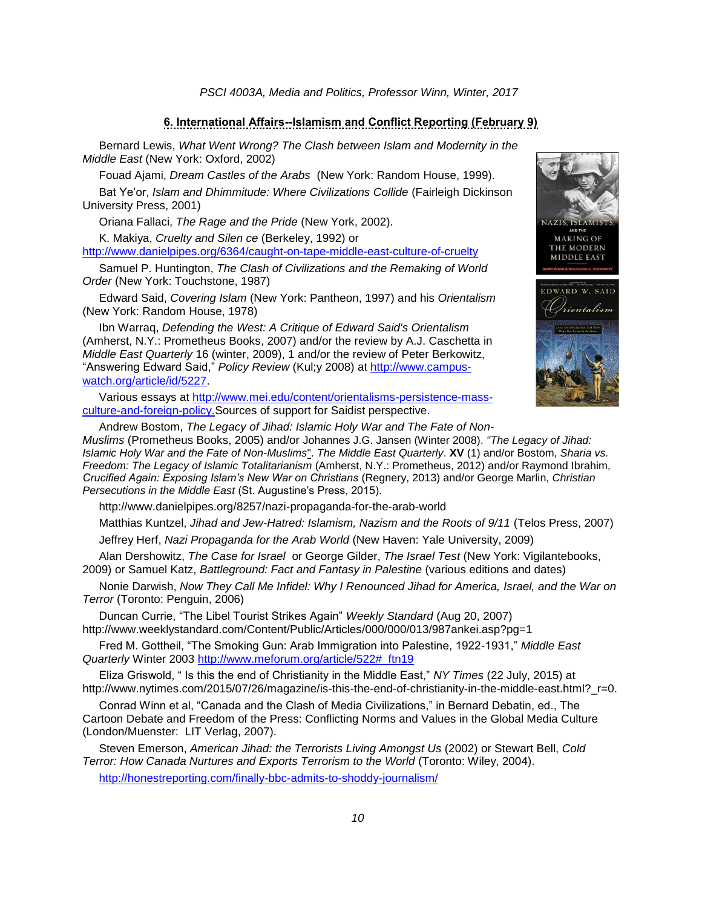#### **6. International Affairs--Islamism and Conflict Reporting (February 9)**

Bernard Lewis, *What Went Wrong? The Clash between Islam and Modernity in the Middle East* (New York: Oxford, 2002)

Fouad Ajami, *Dream Castles of the Arabs* (New York: Random House, 1999).

Bat Ye'or, *Islam and Dhimmitude: Where Civilizations Collide* (Fairleigh Dickinson University Press, 2001)

Oriana Fallaci, *The Rage and the Pride* (New York, 2002).

K. Makiya, *Cruelty and Silen ce* (Berkeley, 1992) or

<http://www.danielpipes.org/6364/caught-on-tape-middle-east-culture-of-cruelty>

Samuel P. Huntington, *The Clash of Civilizations and the Remaking of World Order* (New York: Touchstone, 1987)

Edward Said, *Covering Islam* (New York: Pantheon, 1997) and his *Orientalism*  (New York: Random House, 1978)

Ibn Warraq, *Defending the West: A Critique of Edward Said's Orientalism* (Amherst, N.Y.: Prometheus Books, 2007) and/or the review by A.J. Caschetta in *Middle East Quarterly* 16 (winter, 2009), 1 and/or the review of Peter Berkowitz, "Answering Edward Said," *Policy Review* (Kul;y 2008) at [http://www.campus](http://www.campus-watch.org/article/id/5227)[watch.org/article/id/5227.](http://www.campus-watch.org/article/id/5227)

Various essays at [http://www.mei.edu/content/orientalisms-persistence-mass](http://www.mei.edu/content/orientalisms-persistence-mass-culture-and-foreign-policy)[culture-and-foreign-policy.](http://www.mei.edu/content/orientalisms-persistence-mass-culture-and-foreign-policy)Sources of support for Saidist perspective.



Andrew Bostom, *The Legacy of Jihad: Islamic Holy War and The Fate of Non-Muslims* (Prometheus Books, 2005) and/or Johannes J.G. Jansen (Winter 2008). *["The Legacy of Jihad:](http://www.meforum.org/1840/the-legacy-of-jihad-islamic-holy-war-and-the-fate)  [Islamic Holy War and the Fate of Non-Muslims](http://www.meforum.org/1840/the-legacy-of-jihad-islamic-holy-war-and-the-fate)*". *The Middle East Quarterly*. **XV** (1) and/or Bostom, *Sharia vs. Freedom: The Legacy of Islamic Totalitarianism* (Amherst, N.Y.: Prometheus, 2012) and/or Raymond Ibrahim, *Crucified Again: Exposing Islam's New War on Christians* (Regnery, 2013) and/or George Marlin, *Christian Persecutions in the Middle East* (St. Augustine's Press, 2015).

http://www.danielpipes.org/8257/nazi-propaganda-for-the-arab-world

Matthias Kuntzel, *Jihad and Jew-Hatred: Islamism, Nazism and the Roots of 9/11* (Telos Press, 2007) Jeffrey Herf, *Nazi Propaganda for the Arab World* (New Haven: Yale University, 2009)

Alan Dershowitz, *The Case for Israel* or George Gilder, *The Israel Test* (New York: Vigilantebooks, 2009) or Samuel Katz, *Battleground: Fact and Fantasy in Palestine* (various editions and dates)

Nonie Darwish, *Now They Call Me Infidel: Why I Renounced Jihad for America, Israel, and the War on Terror* (Toronto: Penguin, 2006)

Duncan Currie, "The Libel Tourist Strikes Again" *Weekly Standard* (Aug 20, 2007) <http://www.weeklystandard.com/Content/Public/Articles/000/000/013/987ankei.asp?pg=1>

Fred M. Gottheil, "The Smoking Gun: Arab Immigration into Palestine, 1922-1931," *Middle East Quarterly* Winter 2003 [http://www.meforum.org/article/522#\\_ftn19](http://www.meforum.org/article/522#_ftn19)

Eliza Griswold, " Is this the end of Christianity in the Middle East," *NY Times* (22 July, 2015) at http://www.nytimes.com/2015/07/26/magazine/is-this-the-end-of-christianity-in-the-middle-east.html?\_r=0.

Conrad Winn et al, "Canada and the Clash of Media Civilizations," in Bernard Debatin, ed., The Cartoon Debate and Freedom of the Press: Conflicting Norms and Values in the Global Media Culture (London/Muenster: LIT Verlag, 2007).

Steven Emerson, *American Jihad: the Terrorists Living Amongst Us* (2002) or Stewart Bell, *Cold Terror: How Canada Nurtures and Exports Terrorism to the World* (Toronto: Wiley, 2004).

<http://honestreporting.com/finally-bbc-admits-to-shoddy-journalism/>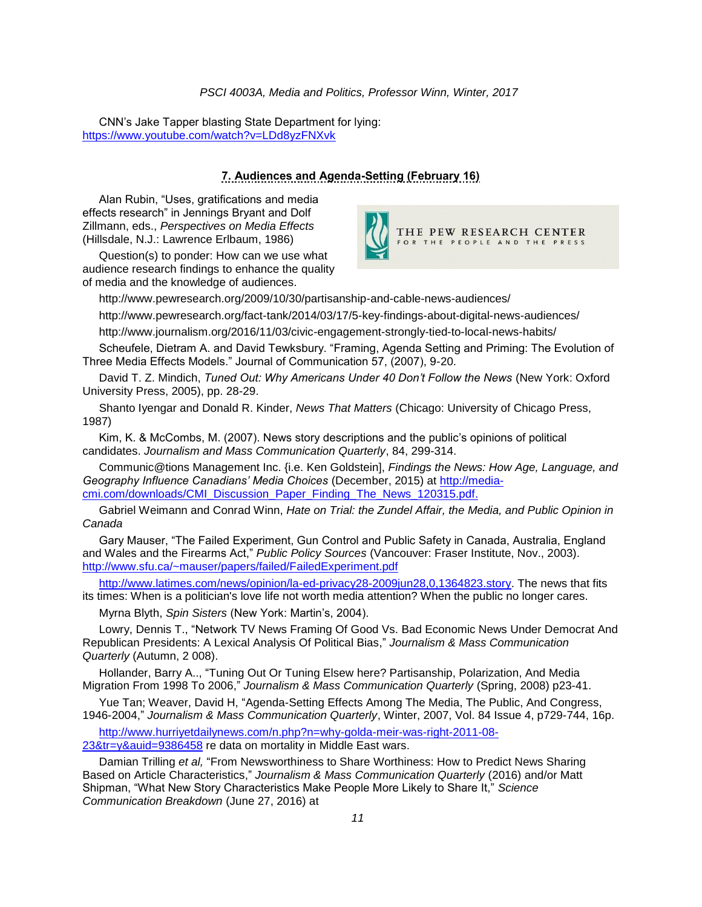CNN's Jake Tapper blasting State Department for lying: <https://www.youtube.com/watch?v=LDd8yzFNXvk>

# **7. Audiences and Agenda-Setting (February 16)**

Alan Rubin, "Uses, gratifications and media effects research" in Jennings Bryant and Dolf Zillmann, eds., *Perspectives on Media Effects* (Hillsdale, N.J.: Lawrence Erlbaum, 1986)

Question(s) to ponder: How can we use what audience research findings to enhance the quality of media and the knowledge of audiences.



http://www.pewresearch.org/2009/10/30/partisanship-and-cable-news-audiences/

http://www.pewresearch.org/fact-tank/2014/03/17/5-key-findings-about-digital-news-audiences/

http://www.journalism.org/2016/11/03/civic-engagement-strongly-tied-to-local-news-habits/

Scheufele, Dietram A. and David Tewksbury. "Framing, Agenda Setting and Priming: The Evolution of Three Media Effects Models." Journal of Communication 57, (2007), 9-20.

David T. Z. Mindich, *Tuned Out: Why Americans Under 40 Don't Follow the News* (New York: Oxford University Press, 2005), pp. 28-29.

Shanto Iyengar and Donald R. Kinder, *News That Matters* (Chicago: University of Chicago Press, 1987)

Kim, K. & McCombs, M. (2007). News story descriptions and the public's opinions of political candidates. *Journalism and Mass Communication Quarterly*, 84, 299-314.

Communic@tions Management Inc. {i.e. Ken Goldstein], *Findings the News: How Age, Language, and Geography Influence Canadians' Media Choices* (December, 2015) at [http://media](http://media-cmi.com/downloads/CMI_Discussion_Paper_Finding_The_News_120315.pdf)[cmi.com/downloads/CMI\\_Discussion\\_Paper\\_Finding\\_The\\_News\\_120315.pdf.](http://media-cmi.com/downloads/CMI_Discussion_Paper_Finding_The_News_120315.pdf)

Gabriel Weimann and Conrad Winn, *Hate on Trial: the Zundel Affair, the Media, and Public Opinion in Canada*

Gary Mauser, "The Failed Experiment, Gun Control and Public Safety in Canada, Australia, England and Wales and the Firearms Act," *Public Policy Sources* (Vancouver: Fraser Institute, Nov., 2003). <http://www.sfu.ca/~mauser/papers/failed/FailedExperiment.pdf>

[http://www.latimes.com/news/opinion/la-ed-privacy28-2009jun28,0,1364823.story.](http://www.latimes.com/news/opinion/la-ed-privacy28-2009jun28,0,1364823.story) The news that fits its times: When is a politician's love life not worth media attention? When the public no longer cares.

Myrna Blyth, *Spin Sisters* (New York: Martin's, 2004).

Lowry, Dennis T., "Network TV News Framing Of Good Vs. Bad Economic News Under Democrat And Republican Presidents: A Lexical Analysis Of Political Bias," *Journalism & Mass Communication Quarterly* (Autumn, 2 008).

Hollander, Barry A.., "Tuning Out Or Tuning Elsew here? Partisanship, Polarization, And Media Migration From 1998 To 2006," *Journalism & Mass Communication Quarterly* (Spring, 2008) p23-41.

Yue Tan; Weaver, David H, "Agenda-Setting Effects Among The Media, The Public, And Congress, 1946-2004," *Journalism & Mass Communication Quarterly*, Winter, 2007, Vol. 84 Issue 4, p729-744, 16p.

[http://www.hurriyetdailynews.com/n.php?n=why-golda-meir-was-right-2011-08-](http://www.hurriyetdailynews.com/n.php?n=why-golda-meir-was-right-2011-08-23&tr=y&auid=9386458)

[23&tr=y&auid=9386458](http://www.hurriyetdailynews.com/n.php?n=why-golda-meir-was-right-2011-08-23&tr=y&auid=9386458) re data on mortality in Middle East wars.

Damian Trilling *et al,* "From Newsworthiness to Share Worthiness: How to Predict News Sharing Based on Article Characteristics," *Journalism & Mass Communication Quarterly* (2016) and/or Matt Shipman, "What New Story Characteristics Make People More Likely to Share It," *Science Communication Breakdown* (June 27, 2016) at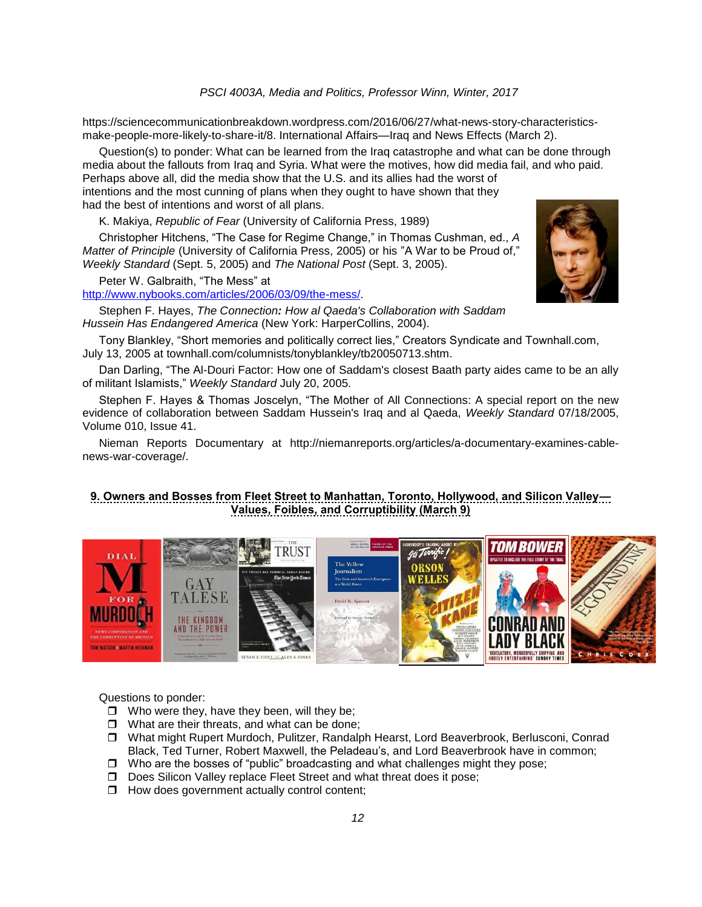https://sciencecommunicationbreakdown.wordpress.com/2016/06/27/what-news-story-characteristicsmake-people-more-likely-to-share-it/8. International Affairs—Iraq and News Effects (March 2).

Question(s) to ponder: What can be learned from the Iraq catastrophe and what can be done through media about the fallouts from Iraq and Syria. What were the motives, how did media fail, and who paid. Perhaps above all, did the media show that the U.S. and its allies had the worst of intentions and the most cunning of plans when they ought to have shown that they had the best of intentions and worst of all plans.

K. Makiya, *Republic of Fear* (University of California Press, 1989)

Christopher Hitchens, "The Case for Regime Change," in Thomas Cushman, ed., *A Matter of Principle* (University of California Press, 2005) or his "A War to be Proud of," *Weekly Standard* (Sept. 5, 2005) and *The National Post* (Sept. 3, 2005).

Peter W. Galbraith, "The Mess" at

[http://www.nybooks.com/articles/2006/03/09/the-mess/.](http://www.nybooks.com/articles/2006/03/09/the-mess/)

Stephen F. Hayes, *The Connection: How al Qaeda's Collaboration with Saddam Hussein Has Endangered America* (New York: HarperCollins, 2004).



Tony Blankley, "Short memories and politically correct lies," Creators Syndicate and Townhall.com, July 13, 2005 at townhall.com/columnists/tonyblankley/tb20050713.shtm.

Dan Darling, "The Al-Douri Factor: How one of Saddam's closest Baath party aides came to be an ally of militant Islamists," *Weekly Standard* July 20, 2005.

Stephen F. Hayes & Thomas Joscelyn, "The Mother of All Connections: A special report on the new evidence of collaboration between Saddam Hussein's Iraq and al Qaeda, *Weekly Standard* 07/18/2005, Volume 010, Issue 41.

Nieman Reports Documentary at http://niemanreports.org/articles/a-documentary-examines-cablenews-war-coverage/.

# **9. Owners and Bosses from Fleet Street to Manhattan, Toronto, Hollywood, and Silicon Valley— Values, Foibles, and Corruptibility (March 9)**



Questions to ponder:

- $\Box$  Who were they, have they been, will they be;
- $\Box$  What are their threats, and what can be done;
- What might Rupert Murdoch, Pulitzer, Randalph Hearst, Lord Beaverbrook, Berlusconi, Conrad Black, Ted Turner, Robert Maxwell, the Peladeau's, and Lord Beaverbrook have in common;
- $\Box$  Who are the bosses of "public" broadcasting and what challenges might they pose;
- □ Does Silicon Valley replace Fleet Street and what threat does it pose:
- $\Box$  How does government actually control content;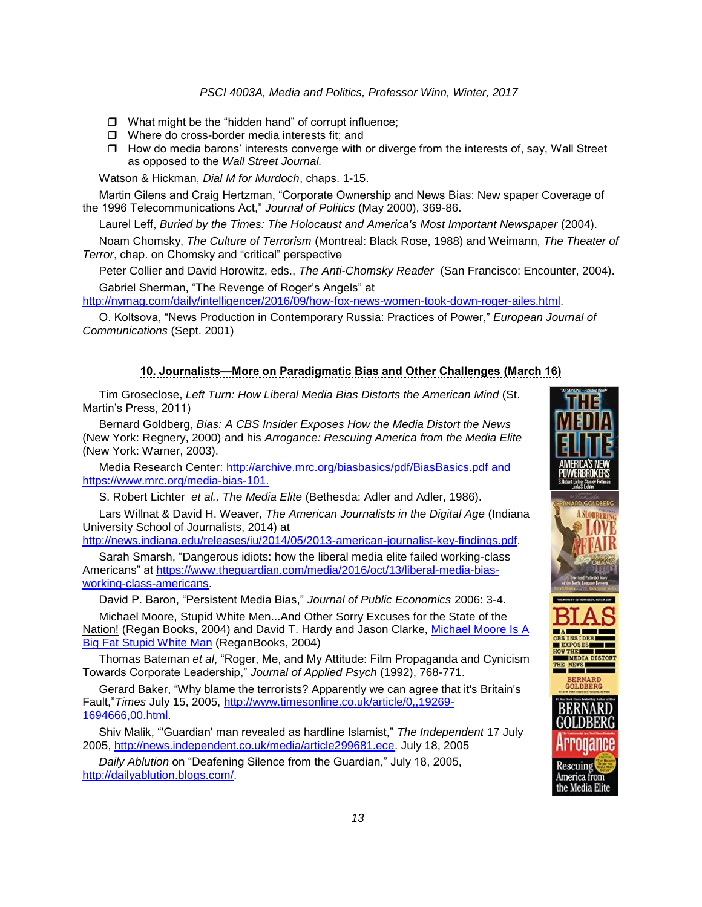- $\Box$  What might be the "hidden hand" of corrupt influence;
- □ Where do cross-border media interests fit; and
- $\Box$  How do media barons' interests converge with or diverge from the interests of, say, Wall Street as opposed to the *Wall Street Journal.*

Watson & Hickman, *Dial M for Murdoch*, chaps. 1-15.

Martin Gilens and Craig Hertzman, "Corporate Ownership and News Bias: New spaper Coverage of the 1996 Telecommunications Act," *Journal of Politics* (May 2000), 369-86.

Laurel Leff, *Buried by the Times: The Holocaust and America's Most Important Newspaper* (2004).

Noam Chomsky, *The Culture of Terrorism* (Montreal: Black Rose, 1988) and Weimann, *The Theater of Terror*, chap. on Chomsky and "critical" perspective

Peter Collier and David Horowitz, eds., *The Anti-Chomsky Reader* (San Francisco: Encounter, 2004). Gabriel Sherman, "The Revenge of Roger's Angels" at

[http://nymag.com/daily/intelligencer/2016/09/how-fox-news-women-took-down-roger-ailes.html.](http://nymag.com/daily/intelligencer/2016/09/how-fox-news-women-took-down-roger-ailes.html)

O. Koltsova, "News Production in Contemporary Russia: Practices of Power," *European Journal of Communications* (Sept. 2001)

# **10. Journalists—More on Paradigmatic Bias and Other Challenges (March 16)**

Tim Groseclose, *Left Turn: How Liberal Media Bias Distorts the American Mind* (St. Martin's Press, 2011)

Bernard Goldberg, *Bias: A CBS Insider Exposes How the Media Distort the News* (New York: Regnery, 2000) and his *Arrogance: Rescuing America from the Media Elite*  (New York: Warner, 2003).

Media Research Center:<http://archive.mrc.org/biasbasics/pdf/BiasBasics.pdf> and https://www.mrc.org/media-bias-101.

S. Robert Lichter *et al., The Media Elite* (Bethesda: Adler and Adler, 1986).

Lars Willnat & David H. Weaver, *The American Journalists in the Digital Age* (Indiana University School of Journalists, 2014) at

[http://news.indiana.edu/releases/iu/2014/05/2013-american-journalist-key-findings.pdf.](http://news.indiana.edu/releases/iu/2014/05/2013-american-journalist-key-findings.pdf)

Sarah Smarsh, "Dangerous idiots: how the liberal media elite failed working-class Americans" at [https://www.theguardian.com/media/2016/oct/13/liberal-media-bias](https://www.theguardian.com/media/2016/oct/13/liberal-media-bias-working-class-americans)[working-class-americans.](https://www.theguardian.com/media/2016/oct/13/liberal-media-bias-working-class-americans)

David P. Baron, "Persistent Media Bias," *Journal of Public Economics* 2006: 3-4. Michael Moore, Stupid White Men...And Other Sorry Excuses for the State of the

Nation! (Regan Books, 2004) and David T. Hardy and Jason Clarke, Michael Moore Is A [Big Fat Stupid White Man](http://www.amazon.com/exec/obidos/tg/detail/-/0060763957/qid=1094767870/sr=1-1/ref=sr_1_1/103-6544492-3013410?v=glance&s=books) (ReganBooks, 2004)

Thomas Bateman *et al*, "Roger, Me, and My Attitude: Film Propaganda and Cynicism Towards Corporate Leadership," *Journal of Applied Psych* (1992), 768-771.

Gerard Baker, "Why blame the terrorists? Apparently we can agree that it's Britain's Fault,"*Times* July 15, 2005, [http://www.timesonline.co.uk/article/0,,19269-](http://www.timesonline.co.uk/article/0,,19269-1694666,00.html) [1694666,00.html.](http://www.timesonline.co.uk/article/0,,19269-1694666,00.html)

Shiv Malik, "'Guardian' man revealed as hardline Islamist," *The Independent* 17 July 2005, [http://news.independent.co.uk/media/article299681.ece.](http://news.independent.co.uk/media/article299681.ece) July 18, 2005

*Daily Ablution* on "Deafening Silence from the Guardian," July 18, 2005, [http://dailyablution.blogs.com/.](http://dailyablution.blogs.com/)

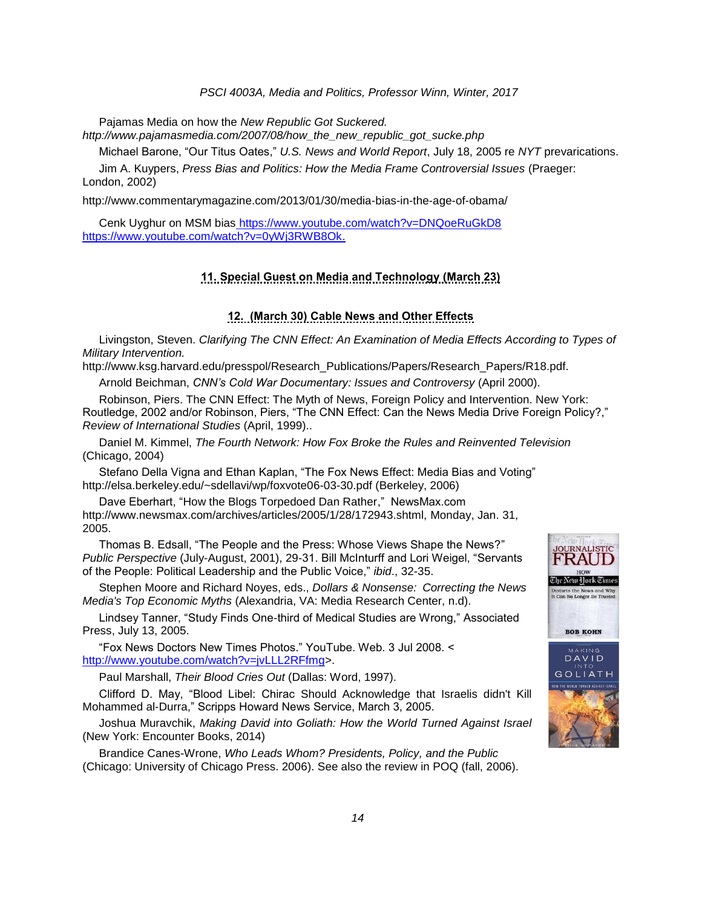Pajamas Media on how the *New Republic Got Suckered.* 

*http://www.pajamasmedia.com/2007/08/how\_the\_new\_republic\_got\_sucke.php*

Michael Barone, "Our Titus Oates," *U.S. News and World Report*, July 18, 2005 re *NYT* prevarications.

Jim A. Kuypers, *Press Bias and Politics: How the Media Frame Controversial Issues* (Praeger: London, 2002)

http://www.commentarymagazine.com/2013/01/30/media-bias-in-the-age-of-obama/

Cenk Uyghur on MSM bias <https://www.youtube.com/watch?v=DNQoeRuGkD8> [https://www.youtube.com/watch?v=0yWj3RWB8Ok.](https://www.youtube.com/watch?v=0yWj3RWB8Ok)

# **11. Special Guest on Media and Technology (March 23)**

#### **12. (March 30) Cable News and Other Effects**

Livingston, Steven. *Clarifying The CNN Effect: An Examination of Media Effects According to Types of Military Intervention.*

http://www.ksg.harvard.edu/presspol/Research\_Publications/Papers/Research\_Papers/R18.pdf.

Arnold Beichman, *CNN's Cold War Documentary: Issues and Controversy* (April 2000).

Robinson, Piers. The CNN Effect: The Myth of News, Foreign Policy and Intervention. New York: Routledge, 2002 and/or Robinson, Piers, "The CNN Effect: Can the News Media Drive Foreign Policy?," *Review of International Studies* (April, 1999)..

Daniel M. Kimmel, *The Fourth Network: How Fox Broke the Rules and Reinvented Television*  (Chicago, 2004)

Stefano Della Vigna and Ethan Kaplan, "The Fox News Effect: Media Bias and Voting" http://elsa.berkeley.edu/~sdellavi/wp/foxvote06-03-30.pdf (Berkeley, 2006)

Dave Eberhart, "How the Blogs Torpedoed Dan Rather," NewsMax.com http://www.newsmax.com/archives/articles/2005/1/28/172943.shtml, Monday, Jan. 31, 2005.

Thomas B. Edsall, "The People and the Press: Whose Views Shape the News?" *Public Perspective* (July-August, 2001), 29-31. Bill McInturff and Lori Weigel, "Servants of the People: Political Leadership and the Public Voice," *ibid*., 32-35.

Stephen Moore and Richard Noyes, eds., *Dollars & Nonsense: Correcting the News Media's Top Economic Myths* (Alexandria, VA: Media Research Center, n.d).

Lindsey Tanner, "Study Finds One-third of Medical Studies are Wrong," Associated Press, July 13, 2005.

"Fox News Doctors New Times Photos." YouTube. Web. 3 Jul 2008. < [http://www.youtube.com/watch?v=jvLLL2RFfmg>](http://www.youtube.com/watch?v=jvLLL2RFfmg).

Paul Marshall, *Their Blood Cries Out* (Dallas: Word, 1997).

Clifford D. May, "Blood Libel: Chirac Should Acknowledge that Israelis didn't Kill Mohammed al-Durra," Scripps Howard News Service, March 3, 2005.

Joshua Muravchik, *Making David into Goliath: How the World Turned Against Israel* (New York: Encounter Books, 2014)

Brandice Canes-Wrone, *Who Leads Whom? Presidents, Policy, and the Public* (Chicago: University of Chicago Press. 2006). See also the review in POQ (fall, 2006).

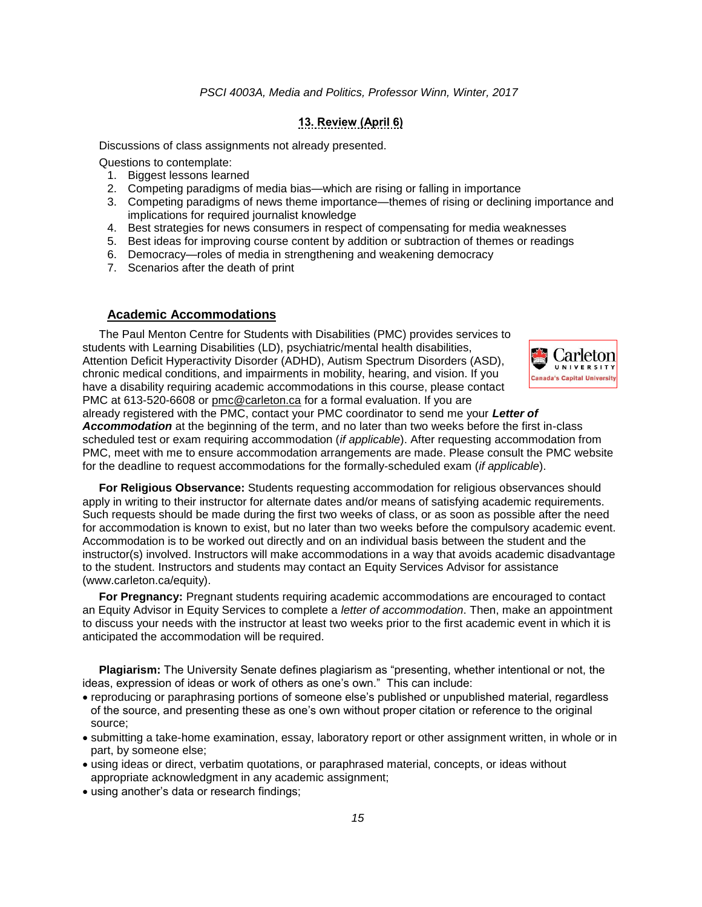### **13. Review (April 6)**

Discussions of class assignments not already presented.

Questions to contemplate:

- 1. Biggest lessons learned
- 2. Competing paradigms of media bias—which are rising or falling in importance
- 3. Competing paradigms of news theme importance—themes of rising or declining importance and implications for required journalist knowledge
- 4. Best strategies for news consumers in respect of compensating for media weaknesses
- 5. Best ideas for improving course content by addition or subtraction of themes or readings
- 6. Democracy—roles of media in strengthening and weakening democracy
- 7. Scenarios after the death of print

### **Academic Accommodations**

The Paul Menton Centre for Students with Disabilities (PMC) provides services to students with Learning Disabilities (LD), psychiatric/mental health disabilities, Attention Deficit Hyperactivity Disorder (ADHD), Autism Spectrum Disorders (ASD), chronic medical conditions, and impairments in mobility, hearing, and vision. If you have a disability requiring academic accommodations in this course, please contact PMC at 613-520-6608 or [pmc@carleton.ca](mailto:pmc@carleton.ca) for a formal evaluation. If you are



already registered with the PMC, contact your PMC coordinator to send me your *Letter of Accommodation* at the beginning of the term, and no later than two weeks before the first in-class scheduled test or exam requiring accommodation (*if applicable*). After requesting accommodation from PMC, meet with me to ensure accommodation arrangements are made. Please consult the PMC website for the deadline to request accommodations for the formally-scheduled exam (*if applicable*).

**For Religious Observance:** Students requesting accommodation for religious observances should apply in writing to their instructor for alternate dates and/or means of satisfying academic requirements. Such requests should be made during the first two weeks of class, or as soon as possible after the need for accommodation is known to exist, but no later than two weeks before the compulsory academic event. Accommodation is to be worked out directly and on an individual basis between the student and the instructor(s) involved. Instructors will make accommodations in a way that avoids academic disadvantage to the student. Instructors and students may contact an Equity Services Advisor for assistance (www.carleton.ca/equity).

**For Pregnancy:** Pregnant students requiring academic accommodations are encouraged to contact an Equity Advisor in Equity Services to complete a *letter of accommodation*. Then, make an appointment to discuss your needs with the instructor at least two weeks prior to the first academic event in which it is anticipated the accommodation will be required.

**Plagiarism:** The University Senate defines plagiarism as "presenting, whether intentional or not, the ideas, expression of ideas or work of others as one's own." This can include:

- reproducing or paraphrasing portions of someone else's published or unpublished material, regardless of the source, and presenting these as one's own without proper citation or reference to the original source;
- submitting a take-home examination, essay, laboratory report or other assignment written, in whole or in part, by someone else;
- using ideas or direct, verbatim quotations, or paraphrased material, concepts, or ideas without appropriate acknowledgment in any academic assignment;
- using another's data or research findings;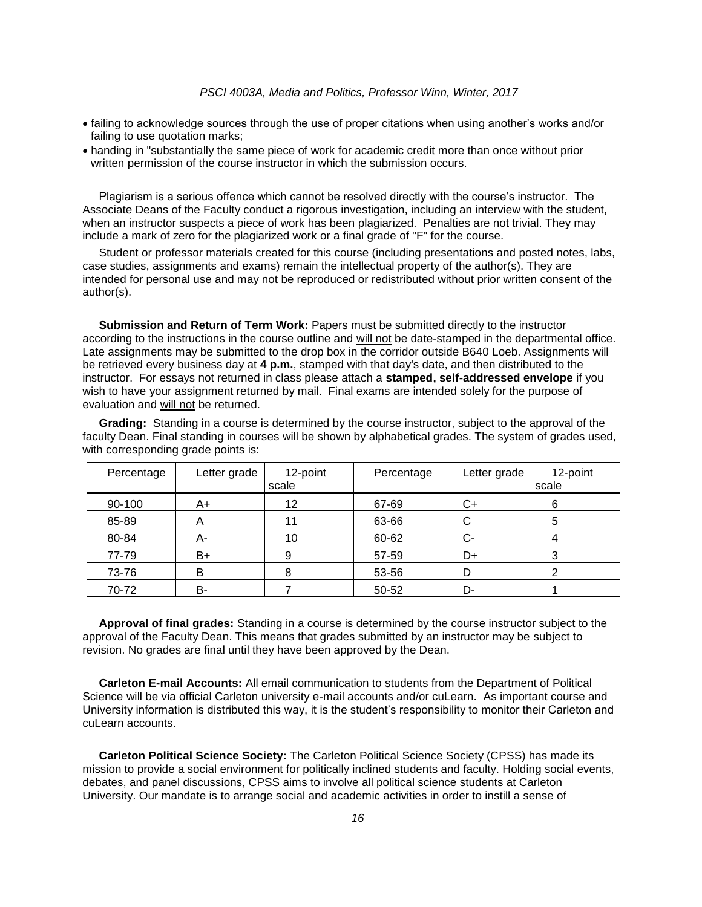- failing to acknowledge sources through the use of proper citations when using another's works and/or failing to use quotation marks;
- handing in "substantially the same piece of work for academic credit more than once without prior written permission of the course instructor in which the submission occurs.

Plagiarism is a serious offence which cannot be resolved directly with the course's instructor. The Associate Deans of the Faculty conduct a rigorous investigation, including an interview with the student, when an instructor suspects a piece of work has been plagiarized. Penalties are not trivial. They may include a mark of zero for the plagiarized work or a final grade of "F" for the course.

Student or professor materials created for this course (including presentations and posted notes, labs, case studies, assignments and exams) remain the intellectual property of the author(s). They are intended for personal use and may not be reproduced or redistributed without prior written consent of the author(s).

**Submission and Return of Term Work:** Papers must be submitted directly to the instructor according to the instructions in the course outline and will not be date-stamped in the departmental office. Late assignments may be submitted to the drop box in the corridor outside B640 Loeb. Assignments will be retrieved every business day at **4 p.m.**, stamped with that day's date, and then distributed to the instructor. For essays not returned in class please attach a **stamped, self-addressed envelope** if you wish to have your assignment returned by mail. Final exams are intended solely for the purpose of evaluation and will not be returned.

**Grading:** Standing in a course is determined by the course instructor, subject to the approval of the faculty Dean. Final standing in courses will be shown by alphabetical grades. The system of grades used, with corresponding grade points is:

| Percentage | Letter grade | 12-point<br>scale | Percentage | Letter grade | 12-point<br>scale |
|------------|--------------|-------------------|------------|--------------|-------------------|
| 90-100     | A+           | 12                | 67-69      | C+           | 6                 |
| 85-89      | A            |                   | 63-66      | C            | 5                 |
| 80-84      | А-           | 10                | 60-62      | C-           |                   |
| 77-79      | B+           | 9                 | 57-59      | D+           |                   |
| 73-76      | В            | 8                 | 53-56      | D            |                   |
| 70-72      | B-           |                   | 50-52      | D-           |                   |

**Approval of final grades:** Standing in a course is determined by the course instructor subject to the approval of the Faculty Dean. This means that grades submitted by an instructor may be subject to revision. No grades are final until they have been approved by the Dean.

**Carleton E-mail Accounts:** All email communication to students from the Department of Political Science will be via official Carleton university e-mail accounts and/or cuLearn. As important course and University information is distributed this way, it is the student's responsibility to monitor their Carleton and cuLearn accounts.

**Carleton Political Science Society:** The Carleton Political Science Society (CPSS) has made its mission to provide a social environment for politically inclined students and faculty. Holding social events, debates, and panel discussions, CPSS aims to involve all political science students at Carleton University. Our mandate is to arrange social and academic activities in order to instill a sense of